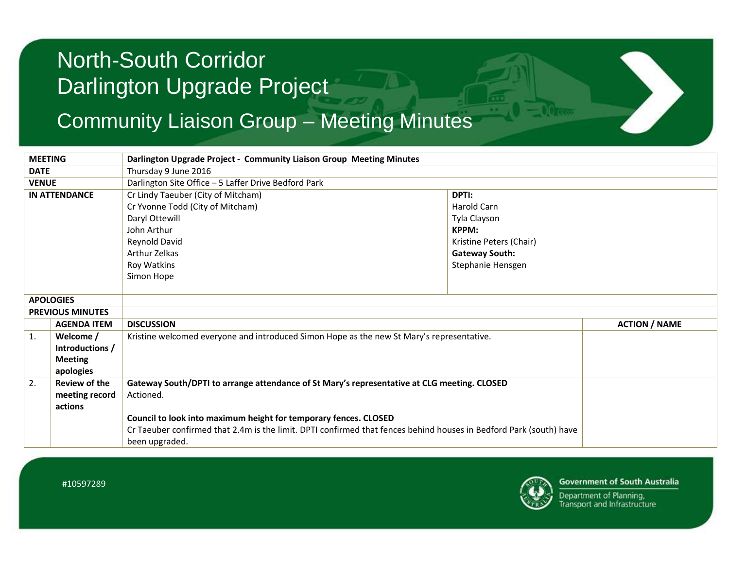### Community Liaison Group – Meeting Minutes

| <b>MEETING</b>          |                                                             | Darlington Upgrade Project - Community Liaison Group Meeting Minutes                                                                                                                                                                                                                                                 |                                                                                                                        |                      |
|-------------------------|-------------------------------------------------------------|----------------------------------------------------------------------------------------------------------------------------------------------------------------------------------------------------------------------------------------------------------------------------------------------------------------------|------------------------------------------------------------------------------------------------------------------------|----------------------|
| <b>DATE</b>             |                                                             | Thursday 9 June 2016                                                                                                                                                                                                                                                                                                 |                                                                                                                        |                      |
| <b>VENUE</b>            |                                                             | Darlington Site Office - 5 Laffer Drive Bedford Park                                                                                                                                                                                                                                                                 |                                                                                                                        |                      |
| <b>IN ATTENDANCE</b>    |                                                             | Cr Lindy Taeuber (City of Mitcham)<br>Cr Yvonne Todd (City of Mitcham)<br>Daryl Ottewill<br>John Arthur<br>Reynold David<br>Arthur Zelkas<br>Roy Watkins<br>Simon Hope                                                                                                                                               | DPTI:<br>Harold Carn<br>Tyla Clayson<br>KPPM:<br>Kristine Peters (Chair)<br><b>Gateway South:</b><br>Stephanie Hensgen |                      |
| <b>APOLOGIES</b>        |                                                             |                                                                                                                                                                                                                                                                                                                      |                                                                                                                        |                      |
| <b>PREVIOUS MINUTES</b> |                                                             |                                                                                                                                                                                                                                                                                                                      |                                                                                                                        |                      |
|                         | <b>AGENDA ITEM</b>                                          | <b>DISCUSSION</b>                                                                                                                                                                                                                                                                                                    |                                                                                                                        | <b>ACTION / NAME</b> |
| 1.                      | Welcome /<br>Introductions /<br><b>Meeting</b><br>apologies | Kristine welcomed everyone and introduced Simon Hope as the new St Mary's representative.                                                                                                                                                                                                                            |                                                                                                                        |                      |
| 2.                      | <b>Review of the</b><br>meeting record<br>actions           | Gateway South/DPTI to arrange attendance of St Mary's representative at CLG meeting. CLOSED<br>Actioned.<br>Council to look into maximum height for temporary fences. CLOSED<br>Cr Taeuber confirmed that 2.4m is the limit. DPTI confirmed that fences behind houses in Bedford Park (south) have<br>been upgraded. |                                                                                                                        |                      |



**Government of South Australia** 

Department of Planning, **Transport and Infrastructure**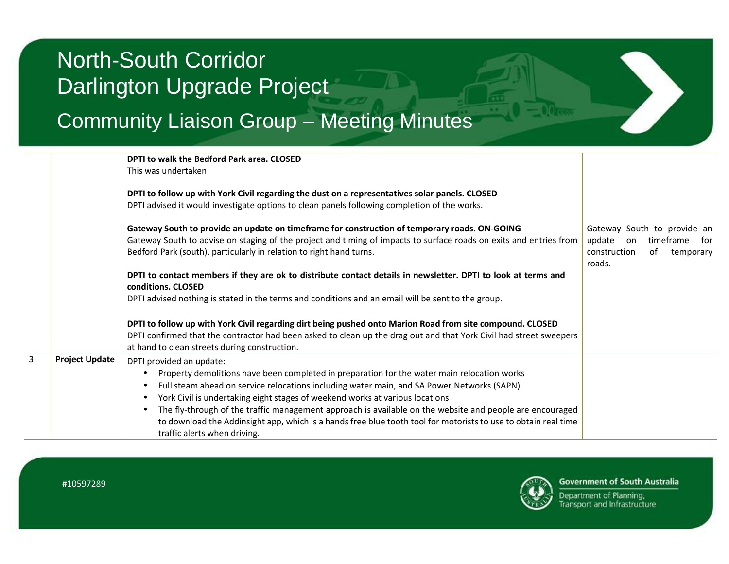### Community Liaison Group – Meeting Minutes

|    |                       | DPTI to walk the Bedford Park area. CLOSED                                                                                                                                                                                                                                                 |                                                                                                           |
|----|-----------------------|--------------------------------------------------------------------------------------------------------------------------------------------------------------------------------------------------------------------------------------------------------------------------------------------|-----------------------------------------------------------------------------------------------------------|
|    |                       | This was undertaken.                                                                                                                                                                                                                                                                       |                                                                                                           |
|    |                       | DPTI to follow up with York Civil regarding the dust on a representatives solar panels. CLOSED<br>DPTI advised it would investigate options to clean panels following completion of the works.                                                                                             |                                                                                                           |
|    |                       | Gateway South to provide an update on timeframe for construction of temporary roads. ON-GOING<br>Gateway South to advise on staging of the project and timing of impacts to surface roads on exits and entries from<br>Bedford Park (south), particularly in relation to right hand turns. | Gateway South to provide an<br>update<br>timeframe for<br>on<br>construction<br>of<br>temporary<br>roads. |
|    |                       | DPTI to contact members if they are ok to distribute contact details in newsletter. DPTI to look at terms and<br>conditions. CLOSED                                                                                                                                                        |                                                                                                           |
|    |                       | DPTI advised nothing is stated in the terms and conditions and an email will be sent to the group.                                                                                                                                                                                         |                                                                                                           |
|    |                       | DPTI to follow up with York Civil regarding dirt being pushed onto Marion Road from site compound. CLOSED<br>DPTI confirmed that the contractor had been asked to clean up the drag out and that York Civil had street sweepers<br>at hand to clean streets during construction.           |                                                                                                           |
| 3. | <b>Project Update</b> | DPTI provided an update:                                                                                                                                                                                                                                                                   |                                                                                                           |
|    |                       | Property demolitions have been completed in preparation for the water main relocation works                                                                                                                                                                                                |                                                                                                           |
|    |                       | Full steam ahead on service relocations including water main, and SA Power Networks (SAPN)                                                                                                                                                                                                 |                                                                                                           |
|    |                       | York Civil is undertaking eight stages of weekend works at various locations<br>$\bullet$                                                                                                                                                                                                  |                                                                                                           |
|    |                       | The fly-through of the traffic management approach is available on the website and people are encouraged                                                                                                                                                                                   |                                                                                                           |
|    |                       | to download the Addinsight app, which is a hands free blue tooth tool for motorists to use to obtain real time<br>traffic alerts when driving.                                                                                                                                             |                                                                                                           |



**Government of South Australia** 

Department of Planning, Transport and Infrastructure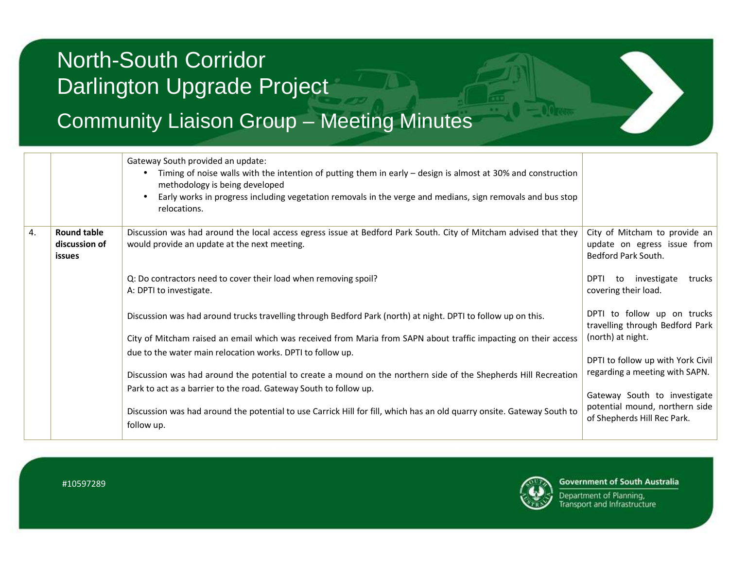### Community Liaison Group – Meeting Minutes

|    |                                               | Gateway South provided an update:<br>Timing of noise walls with the intention of putting them in early $-$ design is almost at 30% and construction<br>methodology is being developed<br>Early works in progress including vegetation removals in the verge and medians, sign removals and bus stop<br>relocations. |                                                                                     |
|----|-----------------------------------------------|---------------------------------------------------------------------------------------------------------------------------------------------------------------------------------------------------------------------------------------------------------------------------------------------------------------------|-------------------------------------------------------------------------------------|
| 4. | <b>Round table</b><br>discussion of<br>issues | Discussion was had around the local access egress issue at Bedford Park South. City of Mitcham advised that they<br>would provide an update at the next meeting.                                                                                                                                                    | City of Mitcham to provide an<br>update on egress issue from<br>Bedford Park South. |
|    |                                               | Q: Do contractors need to cover their load when removing spoil?<br>A: DPTI to investigate.                                                                                                                                                                                                                          | DPTI to investigate<br>trucks<br>covering their load.                               |
|    |                                               | Discussion was had around trucks travelling through Bedford Park (north) at night. DPTI to follow up on this.                                                                                                                                                                                                       | DPTI to follow up on trucks<br>travelling through Bedford Park                      |
|    |                                               | City of Mitcham raised an email which was received from Maria from SAPN about traffic impacting on their access                                                                                                                                                                                                     | (north) at night.                                                                   |
|    |                                               | due to the water main relocation works. DPTI to follow up.                                                                                                                                                                                                                                                          | DPTI to follow up with York Civil<br>regarding a meeting with SAPN.                 |
|    |                                               | Discussion was had around the potential to create a mound on the northern side of the Shepherds Hill Recreation                                                                                                                                                                                                     |                                                                                     |
|    |                                               | Park to act as a barrier to the road. Gateway South to follow up.                                                                                                                                                                                                                                                   | Gateway South to investigate                                                        |
|    |                                               | Discussion was had around the potential to use Carrick Hill for fill, which has an old quarry onsite. Gateway South to<br>follow up.                                                                                                                                                                                | potential mound, northern side<br>of Shepherds Hill Rec Park.                       |

#10597289



**Government of South Australia** 

Department of Planning, Transport and Infrastructure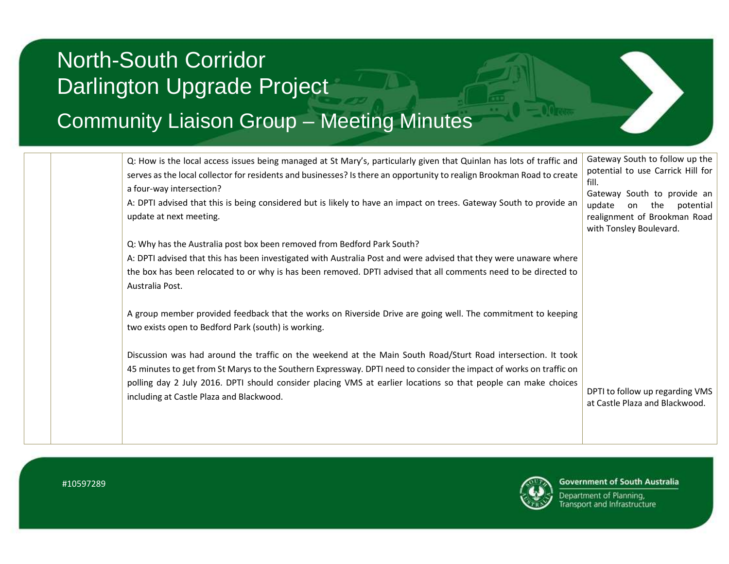### Community Liaison Group – Meeting Minutes

| Q: How is the local access issues being managed at St Mary's, particularly given that Quinlan has lots of traffic and<br>serves as the local collector for residents and businesses? Is there an opportunity to realign Brookman Road to create<br>a four-way intersection?<br>A: DPTI advised that this is being considered but is likely to have an impact on trees. Gateway South to provide an<br>update at next meeting. | Gateway South to follow up the<br>potential to use Carrick Hill for<br>fill.<br>Gateway South to provide an<br>update<br>the<br>potential<br>on<br>realignment of Brookman Road<br>with Tonsley Boulevard. |
|-------------------------------------------------------------------------------------------------------------------------------------------------------------------------------------------------------------------------------------------------------------------------------------------------------------------------------------------------------------------------------------------------------------------------------|------------------------------------------------------------------------------------------------------------------------------------------------------------------------------------------------------------|
| Q: Why has the Australia post box been removed from Bedford Park South?                                                                                                                                                                                                                                                                                                                                                       |                                                                                                                                                                                                            |
| A: DPTI advised that this has been investigated with Australia Post and were advised that they were unaware where                                                                                                                                                                                                                                                                                                             |                                                                                                                                                                                                            |
| the box has been relocated to or why is has been removed. DPTI advised that all comments need to be directed to<br>Australia Post.                                                                                                                                                                                                                                                                                            |                                                                                                                                                                                                            |
| A group member provided feedback that the works on Riverside Drive are going well. The commitment to keeping<br>two exists open to Bedford Park (south) is working.                                                                                                                                                                                                                                                           |                                                                                                                                                                                                            |
| Discussion was had around the traffic on the weekend at the Main South Road/Sturt Road intersection. It took<br>45 minutes to get from St Marys to the Southern Expressway. DPTI need to consider the impact of works on traffic on<br>polling day 2 July 2016. DPTI should consider placing VMS at earlier locations so that people can make choices<br>including at Castle Plaza and Blackwood.                             | DPTI to follow up regarding VMS<br>at Castle Plaza and Blackwood.                                                                                                                                          |
|                                                                                                                                                                                                                                                                                                                                                                                                                               |                                                                                                                                                                                                            |



**Government of South Australia** 

Department of Planning, **Transport and Infrastructure**